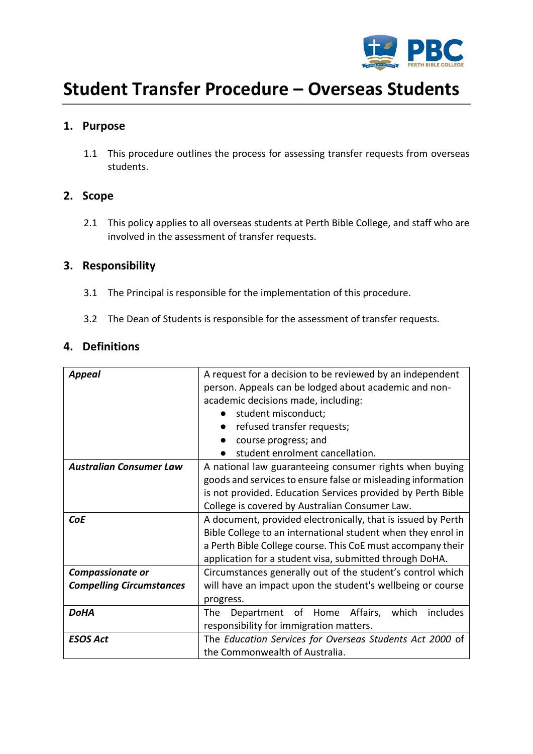

# **Student Transfer Procedure – Overseas Students**

# **1. Purpose**

1.1 This procedure outlines the process for assessing transfer requests from overseas students.

# **2. Scope**

2.1 This policy applies to all overseas students at Perth Bible College, and staff who are involved in the assessment of transfer requests.

# **3. Responsibility**

- 3.1 The Principal is responsible for the implementation of this procedure.
- 3.2 The Dean of Students is responsible for the assessment of transfer requests.

## **4. Definitions**

| <b>Appeal</b>                   | A request for a decision to be reviewed by an independent    |  |  |
|---------------------------------|--------------------------------------------------------------|--|--|
|                                 | person. Appeals can be lodged about academic and non-        |  |  |
|                                 | academic decisions made, including:                          |  |  |
|                                 | student misconduct;                                          |  |  |
|                                 | refused transfer requests;                                   |  |  |
|                                 | course progress; and                                         |  |  |
|                                 | student enrolment cancellation.                              |  |  |
| <b>Australian Consumer Law</b>  | A national law guaranteeing consumer rights when buying      |  |  |
|                                 | goods and services to ensure false or misleading information |  |  |
|                                 | is not provided. Education Services provided by Perth Bible  |  |  |
|                                 | College is covered by Australian Consumer Law.               |  |  |
| <b>CoE</b>                      | A document, provided electronically, that is issued by Perth |  |  |
|                                 | Bible College to an international student when they enrol in |  |  |
|                                 | a Perth Bible College course. This CoE must accompany their  |  |  |
|                                 | application for a student visa, submitted through DoHA.      |  |  |
| Compassionate or                | Circumstances generally out of the student's control which   |  |  |
| <b>Compelling Circumstances</b> | will have an impact upon the student's wellbeing or course   |  |  |
|                                 | progress.                                                    |  |  |
| <b>DoHA</b>                     | Department of Home<br>Affairs,<br>which<br>includes<br>The   |  |  |
|                                 | responsibility for immigration matters.                      |  |  |
| <b>ESOS Act</b>                 | The Education Services for Overseas Students Act 2000 of     |  |  |
|                                 | the Commonwealth of Australia.                               |  |  |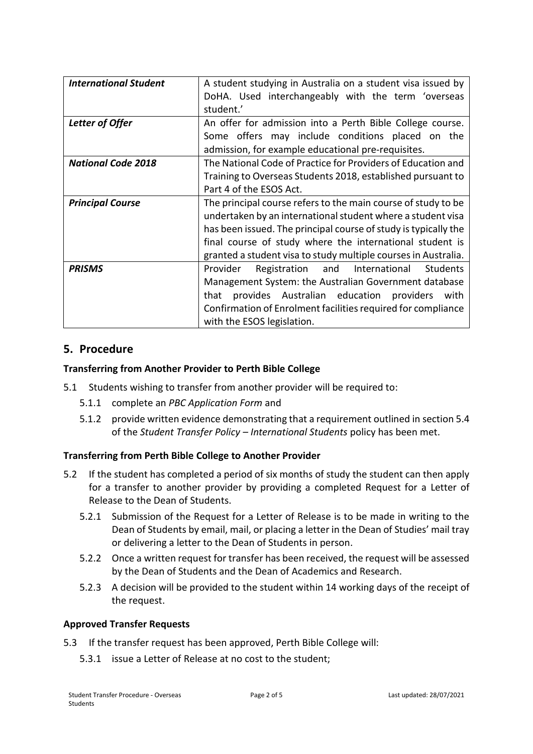| <b>International Student</b> | A student studying in Australia on a student visa issued by     |  |  |
|------------------------------|-----------------------------------------------------------------|--|--|
|                              | DoHA. Used interchangeably with the term 'overseas              |  |  |
|                              | student.'                                                       |  |  |
|                              |                                                                 |  |  |
| Letter of Offer              | An offer for admission into a Perth Bible College course.       |  |  |
|                              | Some offers may include conditions placed on the                |  |  |
|                              | admission, for example educational pre-requisites.              |  |  |
| <b>National Code 2018</b>    | The National Code of Practice for Providers of Education and    |  |  |
|                              | Training to Overseas Students 2018, established pursuant to     |  |  |
|                              | Part 4 of the ESOS Act.                                         |  |  |
| <b>Principal Course</b>      | The principal course refers to the main course of study to be   |  |  |
|                              | undertaken by an international student where a student visa     |  |  |
|                              | has been issued. The principal course of study is typically the |  |  |
|                              | final course of study where the international student is        |  |  |
|                              | granted a student visa to study multiple courses in Australia.  |  |  |
| <b>PRISMS</b>                | Registration and International<br>Provider<br>Students          |  |  |
|                              | Management System: the Australian Government database           |  |  |
|                              | provides Australian education providers<br>that<br>with         |  |  |
|                              | Confirmation of Enrolment facilities required for compliance    |  |  |
|                              | with the ESOS legislation.                                      |  |  |

# **5. Procedure**

#### **Transferring from Another Provider to Perth Bible College**

- 5.1 Students wishing to transfer from another provider will be required to:
	- 5.1.1 complete an *PBC Application Form* and
	- 5.1.2 provide written evidence demonstrating that a requirement outlined in section 5.4 of the *Student Transfer Policy – International Students* policy has been met.

## **Transferring from Perth Bible College to Another Provider**

- 5.2 If the student has completed a period of six months of study the student can then apply for a transfer to another provider by providing a completed Request for a Letter of Release to the Dean of Students.
	- 5.2.1 Submission of the Request for a Letter of Release is to be made in writing to the Dean of Students by email, mail, or placing a letter in the Dean of Studies' mail tray or delivering a letter to the Dean of Students in person.
	- 5.2.2 Once a written request for transfer has been received, the request will be assessed by the Dean of Students and the Dean of Academics and Research.
	- 5.2.3 A decision will be provided to the student within 14 working days of the receipt of the request.

#### **Approved Transfer Requests**

- 5.3 If the transfer request has been approved, Perth Bible College will:
	- 5.3.1 issue a Letter of Release at no cost to the student;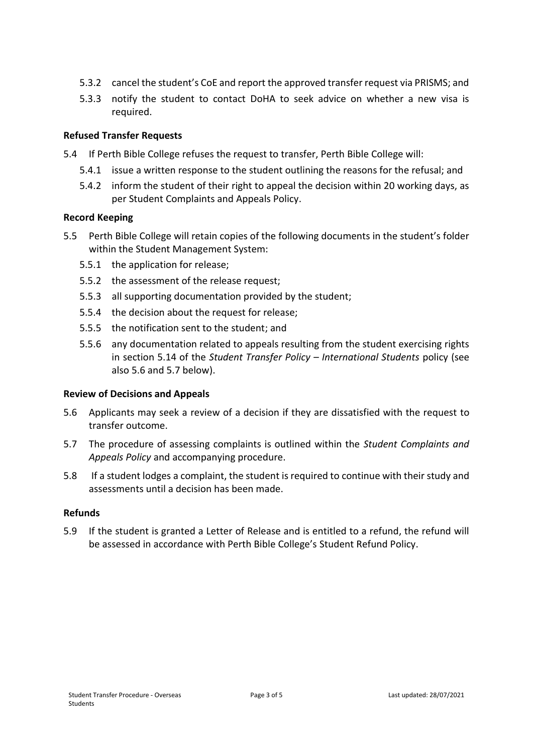- 5.3.2 cancel the student's CoE and report the approved transfer request via PRISMS; and
- 5.3.3 notify the student to contact DoHA to seek advice on whether a new visa is required.

#### **Refused Transfer Requests**

- 5.4 If Perth Bible College refuses the request to transfer, Perth Bible College will:
	- 5.4.1 issue a written response to the student outlining the reasons for the refusal; and
	- 5.4.2 inform the student of their right to appeal the decision within 20 working days, as per Student Complaints and Appeals Policy.

#### **Record Keeping**

- 5.5 Perth Bible College will retain copies of the following documents in the student's folder within the Student Management System:
	- 5.5.1 the application for release;
	- 5.5.2 the assessment of the release request;
	- 5.5.3 all supporting documentation provided by the student;
	- 5.5.4 the decision about the request for release;
	- 5.5.5 the notification sent to the student; and
	- 5.5.6 any documentation related to appeals resulting from the student exercising rights in section 5.14 of the *Student Transfer Policy – International Students* policy (see also 5.6 and 5.7 below).

#### **Review of Decisions and Appeals**

- 5.6 Applicants may seek a review of a decision if they are dissatisfied with the request to transfer outcome.
- 5.7 The procedure of assessing complaints is outlined within the *Student Complaints and Appeals Policy* and accompanying procedure.
- 5.8 If a student lodges a complaint, the student is required to continue with their study and assessments until a decision has been made.

#### **Refunds**

5.9 If the student is granted a Letter of Release and is entitled to a refund, the refund will be assessed in accordance with Perth Bible College's Student Refund Policy.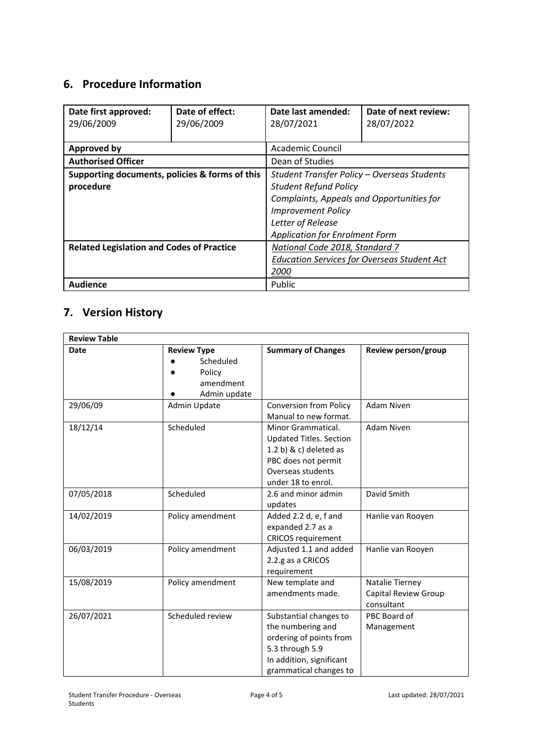# **6. Procedure Information**

| Date first approved:<br>29/06/2009               | Date of effect:<br>29/06/2009 | Date last amended:<br>28/07/2021                   | Date of next review:<br>28/07/2022 |  |
|--------------------------------------------------|-------------------------------|----------------------------------------------------|------------------------------------|--|
| <b>Approved by</b>                               |                               | Academic Council                                   |                                    |  |
| <b>Authorised Officer</b>                        |                               | Dean of Studies                                    |                                    |  |
| Supporting documents, policies & forms of this   |                               | Student Transfer Policy - Overseas Students        |                                    |  |
| procedure                                        |                               | <b>Student Refund Policy</b>                       |                                    |  |
|                                                  |                               | Complaints, Appeals and Opportunities for          |                                    |  |
|                                                  |                               | <b>Improvement Policy</b>                          |                                    |  |
|                                                  |                               | Letter of Release                                  |                                    |  |
|                                                  |                               | <b>Application for Enrolment Form</b>              |                                    |  |
| <b>Related Legislation and Codes of Practice</b> |                               | National Code 2018, Standard 7                     |                                    |  |
|                                                  |                               | <b>Education Services for Overseas Student Act</b> |                                    |  |
|                                                  |                               |                                                    | <i>2000</i>                        |  |
| <b>Audience</b>                                  |                               | Public                                             |                                    |  |

# **7. Version History**

| <b>Review Table</b> |                                                                        |                                                                                                                                                    |                                                       |  |  |
|---------------------|------------------------------------------------------------------------|----------------------------------------------------------------------------------------------------------------------------------------------------|-------------------------------------------------------|--|--|
| Date                | <b>Review Type</b><br>Scheduled<br>Policy<br>amendment<br>Admin update | <b>Summary of Changes</b>                                                                                                                          | Review person/group                                   |  |  |
| 29/06/09            | Admin Update                                                           | <b>Conversion from Policy</b><br>Manual to new format.                                                                                             | <b>Adam Niven</b>                                     |  |  |
| 18/12/14            | Scheduled                                                              | Minor Grammatical.<br><b>Updated Titles. Section</b><br>$1.2 b)$ & c) deleted as<br>PBC does not permit<br>Overseas students<br>under 18 to enrol. | <b>Adam Niven</b>                                     |  |  |
| 07/05/2018          | Scheduled                                                              | 2.6 and minor admin<br>updates                                                                                                                     | David Smith                                           |  |  |
| 14/02/2019          | Policy amendment                                                       | Added 2.2 d, e, f and<br>expanded 2.7 as a<br><b>CRICOS</b> requirement                                                                            | Hanlie van Rooyen                                     |  |  |
| 06/03/2019          | Policy amendment                                                       | Adjusted 1.1 and added<br>2.2.g as a CRICOS<br>requirement                                                                                         | Hanlie van Rooyen                                     |  |  |
| 15/08/2019          | Policy amendment                                                       | New template and<br>amendments made.                                                                                                               | Natalie Tierney<br>Capital Review Group<br>consultant |  |  |
| 26/07/2021          | Scheduled review                                                       | Substantial changes to<br>the numbering and<br>ordering of points from<br>5.3 through 5.9<br>In addition, significant<br>grammatical changes to    | PBC Board of<br>Management                            |  |  |